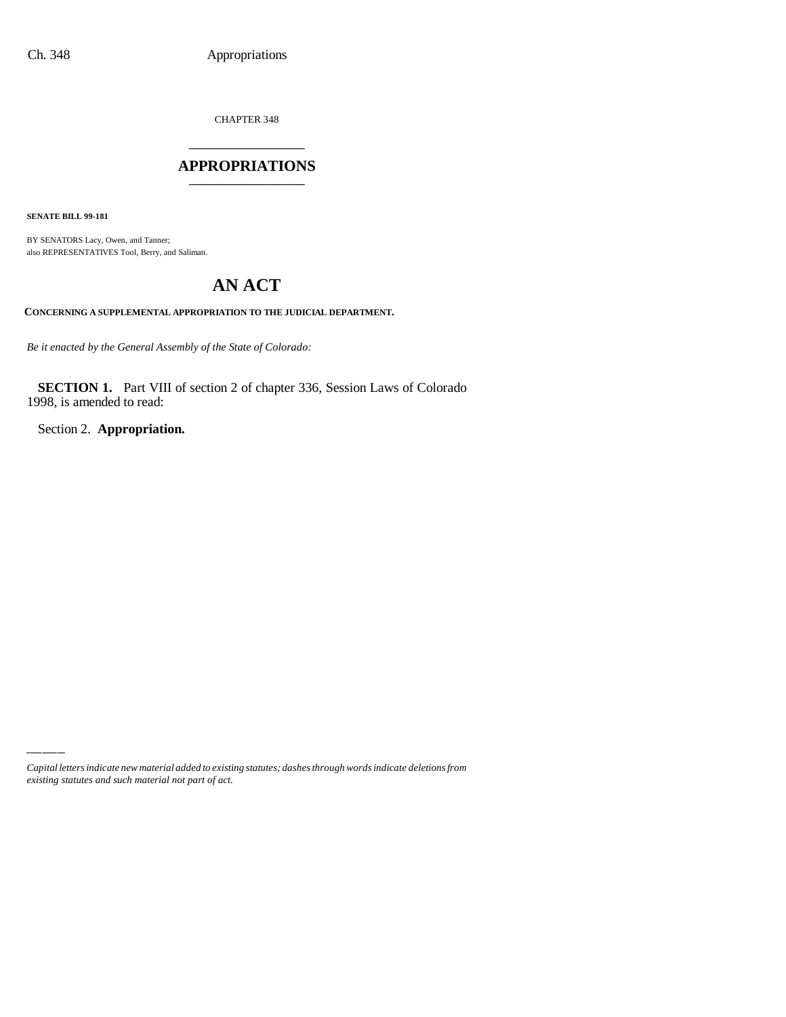CHAPTER 348 \_\_\_\_\_\_\_\_\_\_\_\_\_\_\_

## **APPROPRIATIONS** \_\_\_\_\_\_\_\_\_\_\_\_\_\_\_

**SENATE BILL 99-181**

BY SENATORS Lacy, Owen, and Tanner; also REPRESENTATIVES Tool, Berry, and Saliman.

# **AN ACT**

**CONCERNING A SUPPLEMENTAL APPROPRIATION TO THE JUDICIAL DEPARTMENT.**

*Be it enacted by the General Assembly of the State of Colorado:*

**SECTION 1.** Part VIII of section 2 of chapter 336, Session Laws of Colorado 1998, is amended to read:

Section 2. **Appropriation.**

*Capital letters indicate new material added to existing statutes; dashes through words indicate deletions from existing statutes and such material not part of act.*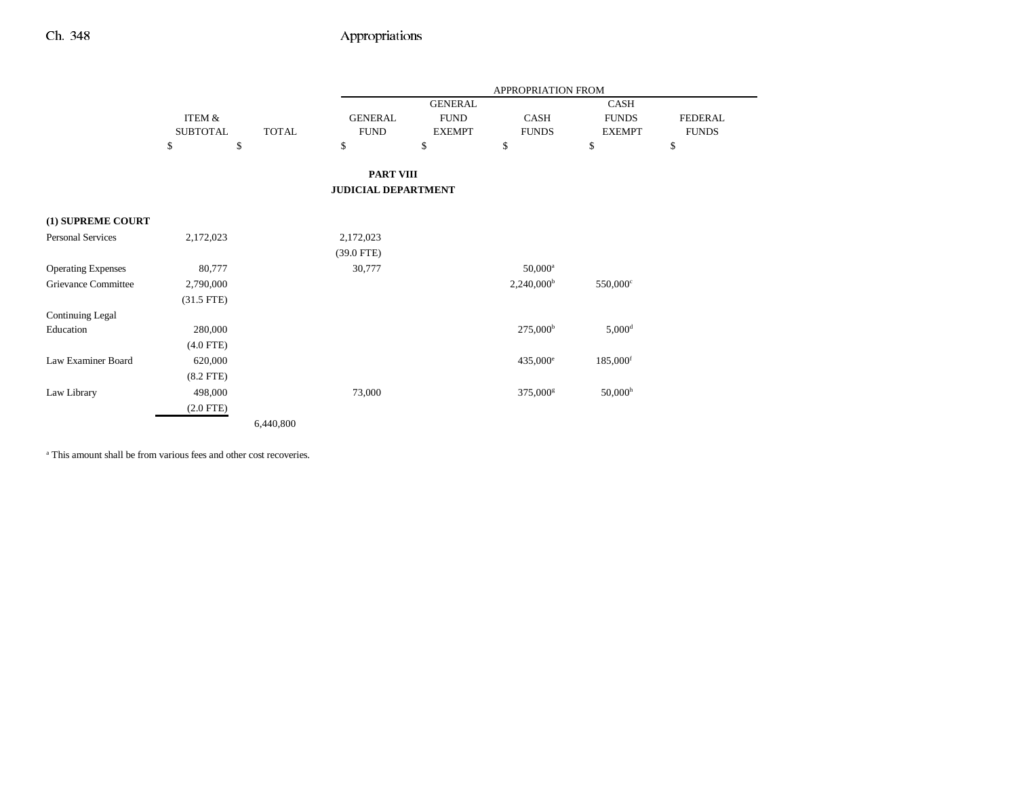Ξ,

|                           |                 |              |                            |                | <b>APPROPRIATION FROM</b> |                       |                |
|---------------------------|-----------------|--------------|----------------------------|----------------|---------------------------|-----------------------|----------------|
|                           |                 |              |                            | <b>GENERAL</b> |                           | CASH                  |                |
|                           | ITEM &          |              | <b>GENERAL</b>             | <b>FUND</b>    | CASH                      | <b>FUNDS</b>          | <b>FEDERAL</b> |
|                           | <b>SUBTOTAL</b> | <b>TOTAL</b> | <b>FUND</b>                | <b>EXEMPT</b>  | <b>FUNDS</b>              | <b>EXEMPT</b>         | <b>FUNDS</b>   |
|                           | \$<br>\$        |              | \$                         | \$             | \$                        | \$                    | \$             |
|                           |                 |              | <b>PART VIII</b>           |                |                           |                       |                |
|                           |                 |              | <b>JUDICIAL DEPARTMENT</b> |                |                           |                       |                |
| (1) SUPREME COURT         |                 |              |                            |                |                           |                       |                |
| <b>Personal Services</b>  | 2,172,023       |              | 2,172,023                  |                |                           |                       |                |
|                           |                 |              |                            |                |                           |                       |                |
|                           |                 |              | $(39.0$ FTE)               |                |                           |                       |                |
| <b>Operating Expenses</b> | 80,777          |              | 30,777                     |                | $50,000^a$                |                       |                |
| Grievance Committee       | 2,790,000       |              |                            |                | $2,240,000^{\rm b}$       | $550,000^{\circ}$     |                |
|                           | $(31.5$ FTE)    |              |                            |                |                           |                       |                |
| <b>Continuing Legal</b>   |                 |              |                            |                |                           |                       |                |
| Education                 | 280,000         |              |                            |                | $275,000^{\rm b}$         | $5,000$ <sup>d</sup>  |                |
|                           | $(4.0$ FTE)     |              |                            |                |                           |                       |                |
| Law Examiner Board        | 620,000         |              |                            |                | $435,000^{\circ}$         | 185,000 <sup>f</sup>  |                |
|                           | $(8.2$ FTE $)$  |              |                            |                |                           |                       |                |
| Law Library               | 498,000         |              | 73,000                     |                | 375,000 <sup>g</sup>      | $50,000$ <sup>h</sup> |                |
|                           | $(2.0$ FTE)     |              |                            |                |                           |                       |                |
|                           |                 | 6,440,800    |                            |                |                           |                       |                |

a This amount shall be from various fees and other cost recoveries.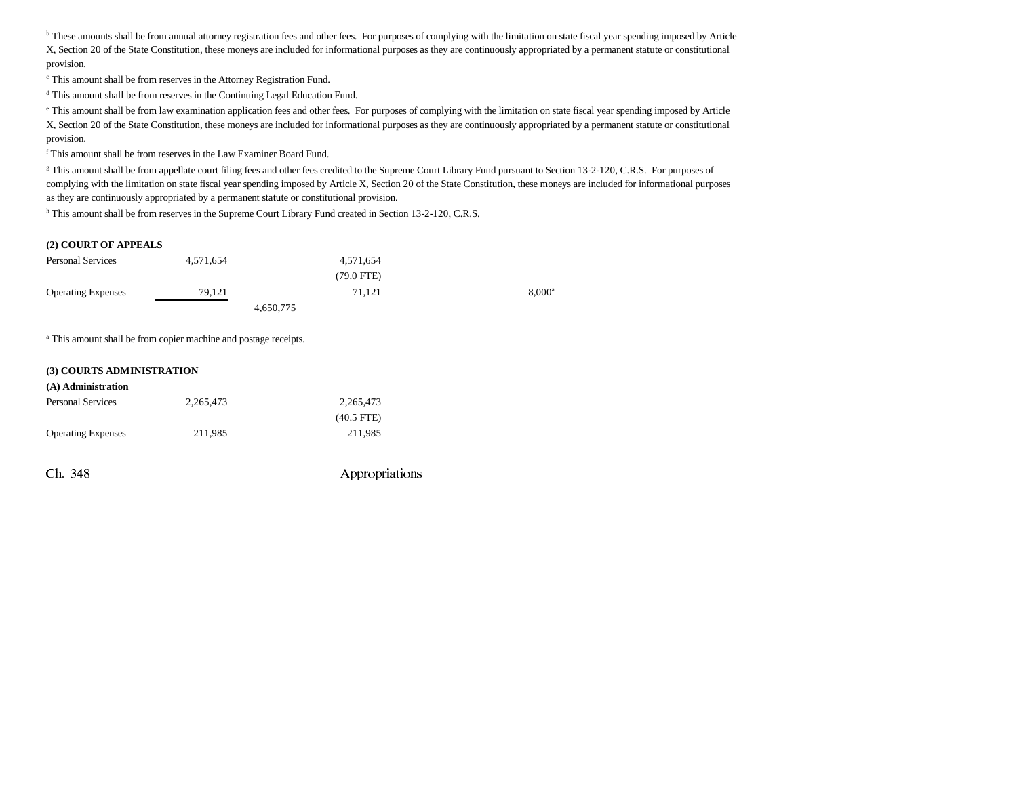**b** These amounts shall be from annual attorney registration fees and other fees. For purposes of complying with the limitation on state fiscal year spending imposed by Article X, Section 20 of the State Constitution, these moneys are included for informational purposes as they are continuously appropriated by a permanent statute or constitutional provision.

c This amount shall be from reserves in the Attorney Registration Fund.

d This amount shall be from reserves in the Continuing Legal Education Fund.

e This amount shall be from law examination application fees and other fees. For purposes of complying with the limitation on state fiscal year spending imposed by Article X, Section 20 of the State Constitution, these moneys are included for informational purposes as they are continuously appropriated by a permanent statute or constitutional provision.

f This amount shall be from reserves in the Law Examiner Board Fund.

<sup>g</sup> This amount shall be from appellate court filing fees and other fees credited to the Supreme Court Library Fund pursuant to Section 13-2-120, C.R.S. For purposes of complying with the limitation on state fiscal year spending imposed by Article X, Section 20 of the State Constitution, these moneys are included for informational purposes as they are continuously appropriated by a permanent statute or constitutional provision.

h This amount shall be from reserves in the Supreme Court Library Fund created in Section 13-2-120, C.R.S.

#### **(2) COURT OF APPEALS**

| <b>Personal Services</b>  | 4.571.654 | 4.571.654            |                 |
|---------------------------|-----------|----------------------|-----------------|
|                           |           | $(79.0 \text{ FTE})$ |                 |
| <b>Operating Expenses</b> | 79.121    | 71.121               | $8.000^{\rm a}$ |
|                           |           | 4,650,775            |                 |

a This amount shall be from copier machine and postage receipts.

#### **(3) COURTS ADMINISTRATION**

| (A) Administration        |           |              |
|---------------------------|-----------|--------------|
| <b>Personal Services</b>  | 2.265.473 | 2,265,473    |
|                           |           | $(40.5$ FTE) |
| <b>Operating Expenses</b> | 211.985   | 211.985      |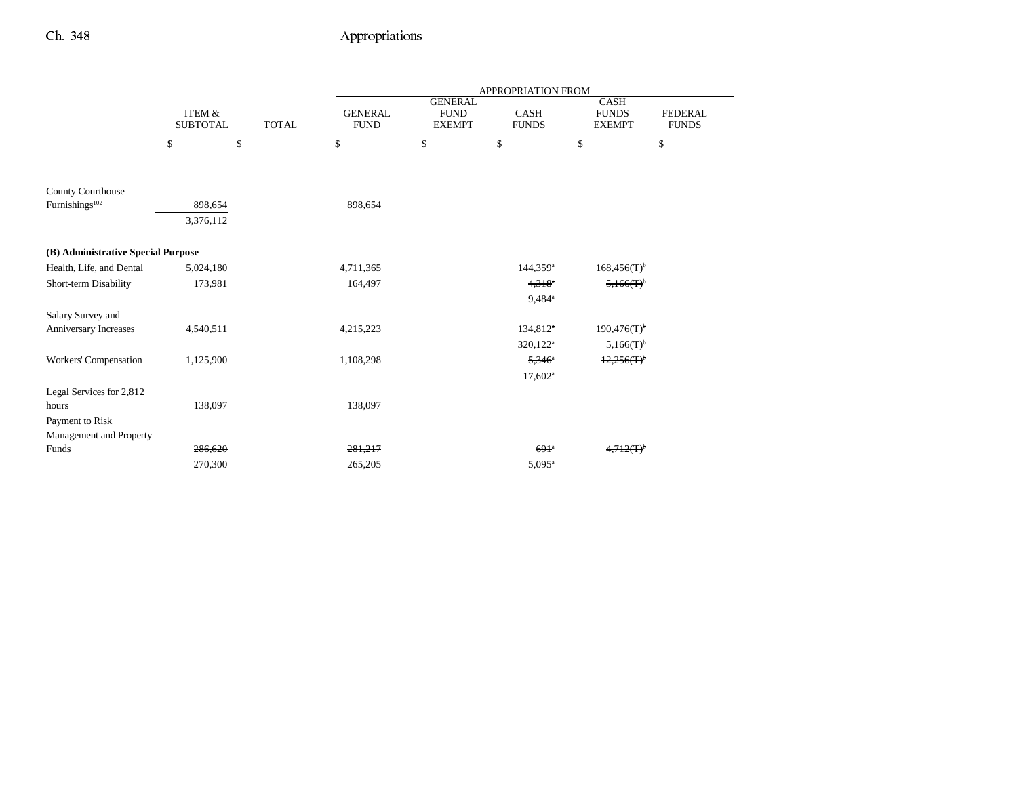|                                    |                                      |              |                               |                                                | APPROPRIATION FROM     |                                              |                                |
|------------------------------------|--------------------------------------|--------------|-------------------------------|------------------------------------------------|------------------------|----------------------------------------------|--------------------------------|
|                                    | <b>ITEM &amp;</b><br><b>SUBTOTAL</b> | <b>TOTAL</b> | <b>GENERAL</b><br><b>FUND</b> | <b>GENERAL</b><br><b>FUND</b><br><b>EXEMPT</b> | CASH<br><b>FUNDS</b>   | <b>CASH</b><br><b>FUNDS</b><br><b>EXEMPT</b> | <b>FEDERAL</b><br><b>FUNDS</b> |
|                                    | \$<br>\$                             |              | \$                            | \$                                             | \$                     | \$                                           | \$                             |
|                                    |                                      |              |                               |                                                |                        |                                              |                                |
| County Courthouse                  |                                      |              |                               |                                                |                        |                                              |                                |
| Furnishings <sup>102</sup>         | 898,654                              |              | 898,654                       |                                                |                        |                                              |                                |
|                                    | 3,376,112                            |              |                               |                                                |                        |                                              |                                |
| (B) Administrative Special Purpose |                                      |              |                               |                                                |                        |                                              |                                |
| Health, Life, and Dental           | 5,024,180                            |              | 4,711,365                     |                                                | $144,359$ <sup>a</sup> | $168,456(T)$ <sup>b</sup>                    |                                |
| Short-term Disability              | 173,981                              |              | 164,497                       |                                                | $4,318^{\circ}$        | $5,166(T)^6$                                 |                                |
|                                    |                                      |              |                               |                                                | 9,484 <sup>a</sup>     |                                              |                                |
| Salary Survey and                  |                                      |              |                               |                                                |                        |                                              |                                |
| Anniversary Increases              | 4,540,511                            |              | 4,215,223                     |                                                | $134,812$ <sup>*</sup> | $190,476(T)$ <sup>b</sup>                    |                                |
|                                    |                                      |              |                               |                                                | 320,122 <sup>a</sup>   | $5,166(T)^{b}$                               |                                |
| Workers' Compensation              | 1,125,900                            |              | 1,108,298                     |                                                | $5,346^{\circ}$        | 12,256(T)                                    |                                |
|                                    |                                      |              |                               |                                                | $17,602^{\rm a}$       |                                              |                                |
| Legal Services for 2,812           |                                      |              |                               |                                                |                        |                                              |                                |
| hours                              | 138,097                              |              | 138,097                       |                                                |                        |                                              |                                |
| Payment to Risk                    |                                      |              |                               |                                                |                        |                                              |                                |
| Management and Property            |                                      |              |                               |                                                |                        |                                              |                                |
| Funds                              | 286,620                              |              | 281,217                       |                                                | $691$ <sup>a</sup>     | $4,712(T)^{6}$                               |                                |
|                                    | 270,300                              |              | 265,205                       |                                                | $5,095^{\circ}$        |                                              |                                |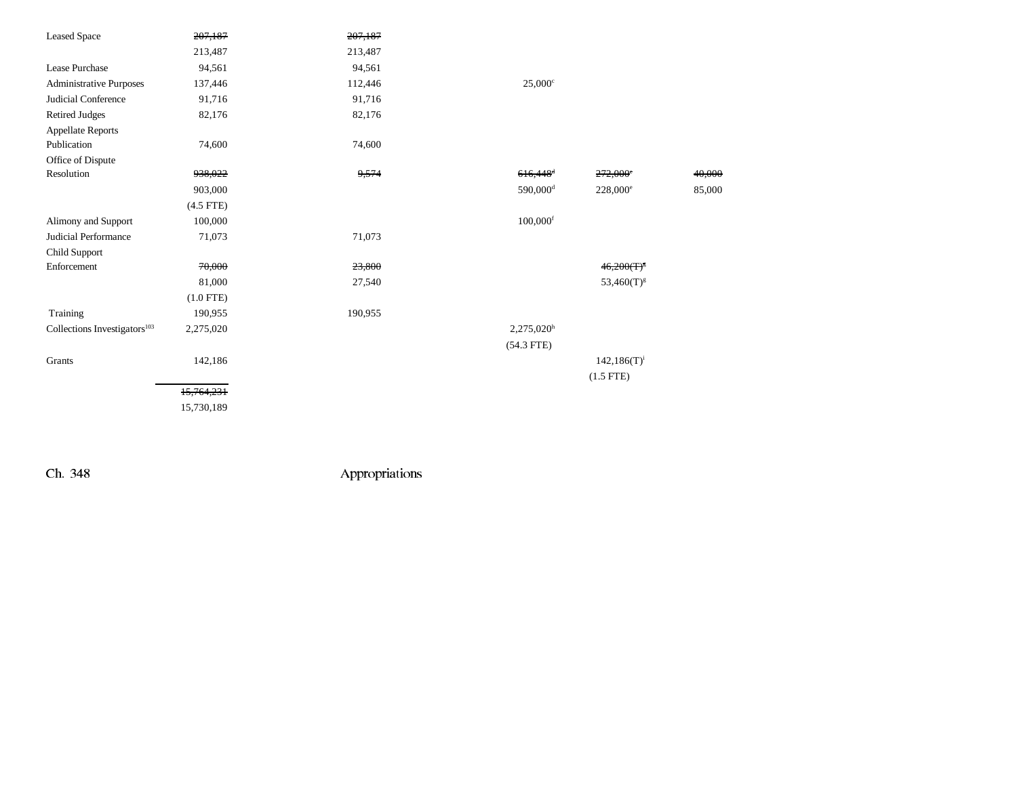| <b>Leased Space</b>                      | 207,187     | 207,187 |                        |                   |        |
|------------------------------------------|-------------|---------|------------------------|-------------------|--------|
|                                          | 213,487     | 213,487 |                        |                   |        |
| Lease Purchase                           | 94,561      | 94,561  |                        |                   |        |
| <b>Administrative Purposes</b>           | 137,446     | 112,446 | $25,000$ c             |                   |        |
| Judicial Conference                      | 91,716      | 91,716  |                        |                   |        |
| <b>Retired Judges</b>                    | 82,176      | 82,176  |                        |                   |        |
| <b>Appellate Reports</b>                 |             |         |                        |                   |        |
| Publication                              | 74,600      | 74,600  |                        |                   |        |
| Office of Dispute                        |             |         |                        |                   |        |
| Resolution                               | 938,022     | 9,574   | $616,448$ <sup>d</sup> | 272,000°          | 40,000 |
|                                          | 903,000     |         | 590,000 <sup>d</sup>   | $228,000^{\circ}$ | 85,000 |
|                                          | $(4.5$ FTE) |         |                        |                   |        |
| Alimony and Support                      | 100,000     |         | $100,000$ <sup>f</sup> |                   |        |
| Judicial Performance                     | 71,073      | 71,073  |                        |                   |        |
| Child Support                            |             |         |                        |                   |        |
| Enforcement                              | 70,000      | 23,800  |                        | $46,200(T)^8$     |        |
|                                          | 81,000      | 27,540  |                        | $53,460(T)^{g}$   |        |
|                                          | $(1.0$ FTE) |         |                        |                   |        |
| Training                                 | 190,955     | 190,955 |                        |                   |        |
| Collections Investigators <sup>103</sup> | 2,275,020   |         | 2,275,020h             |                   |        |
|                                          |             |         | $(54.3$ FTE)           |                   |        |
| Grants                                   | 142,186     |         |                        | $142,186(T)^{i}$  |        |
|                                          |             |         |                        | $(1.5$ FTE)       |        |
|                                          | 15,764,231  |         |                        |                   |        |
|                                          | 15,730,189  |         |                        |                   |        |
|                                          |             |         |                        |                   |        |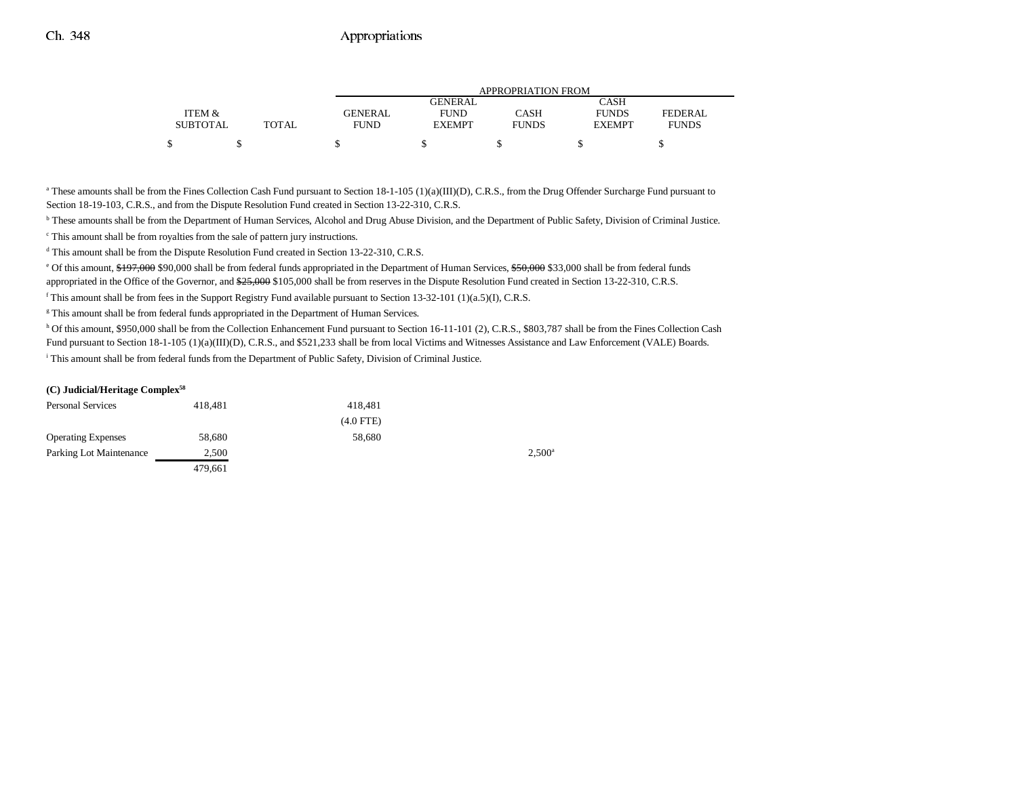|                 |              | APPROPRIATION FROM |                |              |               |              |  |  |
|-----------------|--------------|--------------------|----------------|--------------|---------------|--------------|--|--|
|                 |              |                    | <b>GENERAL</b> |              | CASH          |              |  |  |
| ITEM &          |              | <b>GENERAL</b>     | <b>FUND</b>    | CASH         | <b>FUNDS</b>  | FEDERAL      |  |  |
| <b>SUBTOTAL</b> | <b>TOTAL</b> | <b>FUND</b>        | <b>EXEMPT</b>  | <b>FUNDS</b> | <b>EXEMPT</b> | <b>FUNDS</b> |  |  |
|                 |              |                    |                |              |               |              |  |  |

<sup>a</sup> These amounts shall be from the Fines Collection Cash Fund pursuant to Section 18-1-105 (1)(a)(III)(D), C.R.S., from the Drug Offender Surcharge Fund pursuant to Section 18-19-103, C.R.S., and from the Dispute Resolution Fund created in Section 13-22-310, C.R.S.

**b** These amounts shall be from the Department of Human Services, Alcohol and Drug Abuse Division, and the Department of Public Safety, Division of Criminal Justice.

<sup>c</sup> This amount shall be from royalties from the sale of pattern jury instructions.

<sup>d</sup> This amount shall be from the Dispute Resolution Fund created in Section 13-22-310, C.R.S.

<sup>e</sup> Of this amount, \$197,000 \$90,000 shall be from federal funds appropriated in the Department of Human Services, \$50,000 \$33,000 shall be from federal funds appropriated in the Office of the Governor, and  $\frac{25,000}{25,000}$  shall be from reserves in the Dispute Resolution Fund created in Section 13-22-310, C.R.S.

 $f$  This amount shall be from fees in the Support Registry Fund available pursuant to Section 13-32-101 (1)(a.5)(I), C.R.S.

<sup>g</sup> This amount shall be from federal funds appropriated in the Department of Human Services.

h Of this amount, \$950,000 shall be from the Collection Enhancement Fund pursuant to Section 16-11-101 (2), C.R.S., \$803,787 shall be from the Fines Collection Cash Fund pursuant to Section 18-1-105 (1)(a)(III)(D), C.R.S., and \$521,233 shall be from local Victims and Witnesses Assistance and Law Enforcement (VALE) Boards.

i This amount shall be from federal funds from the Department of Public Safety, Division of Criminal Justice.

#### **(C) Judicial/Heritage Complex58**

| <b>Personal Services</b>  | 418.481 | 418.481     |                 |
|---------------------------|---------|-------------|-----------------|
|                           |         | $(4.0$ FTE) |                 |
| <b>Operating Expenses</b> | 58,680  | 58,680      |                 |
| Parking Lot Maintenance   | 2,500   |             | $2.500^{\circ}$ |
|                           | 479.661 |             |                 |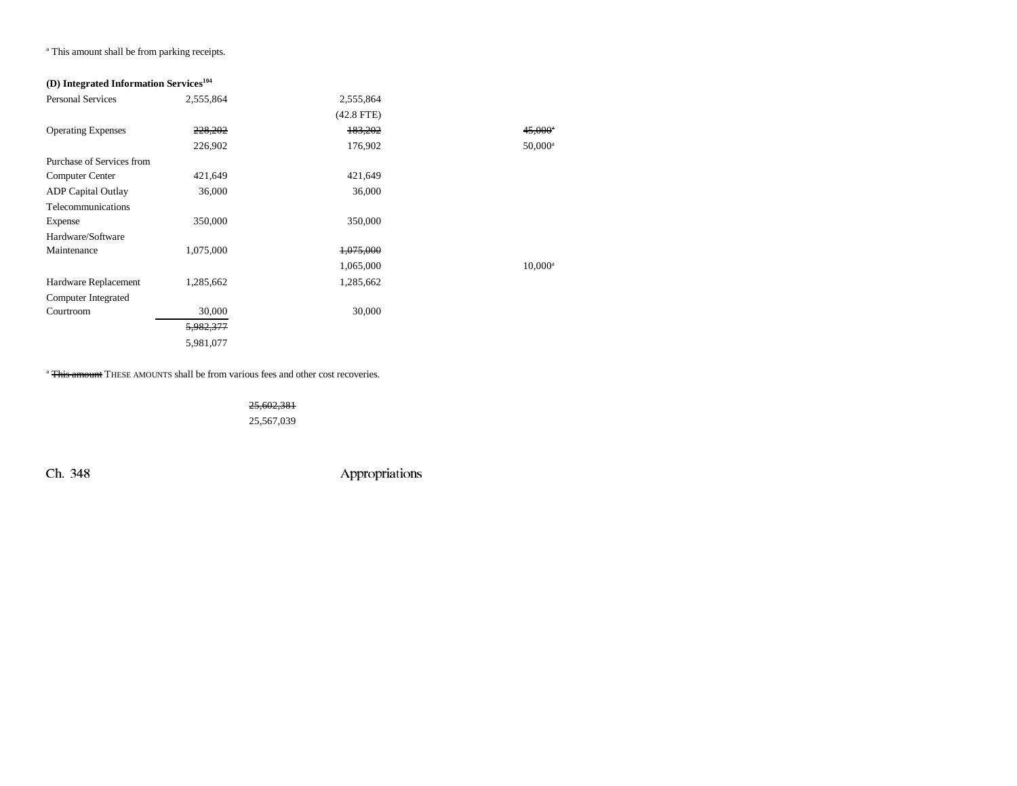<sup>a</sup> This amount shall be from parking receipts.

## **(D) Integrated Information Services104**

| 2,555,864 | 2,555,864    |                  |
|-----------|--------------|------------------|
|           | $(42.8$ FTE) |                  |
| 228,202   | 183,202      | $45,000^{\circ}$ |
| 226,902   | 176,902      | $50,000^{\rm a}$ |
|           |              |                  |
| 421,649   | 421,649      |                  |
| 36,000    | 36,000       |                  |
|           |              |                  |
| 350,000   | 350,000      |                  |
|           |              |                  |
| 1,075,000 | 1,075,000    |                  |
|           | 1,065,000    | $10,000^a$       |
| 1,285,662 | 1,285,662    |                  |
|           |              |                  |
| 30,000    | 30,000       |                  |
| 5,982,377 |              |                  |
| 5,981,077 |              |                  |
|           |              |                  |

<sup>a</sup> <del>This amount</del> THESE AMOUNTS shall be from various fees and other cost recoveries.

25,602,381 25,567,039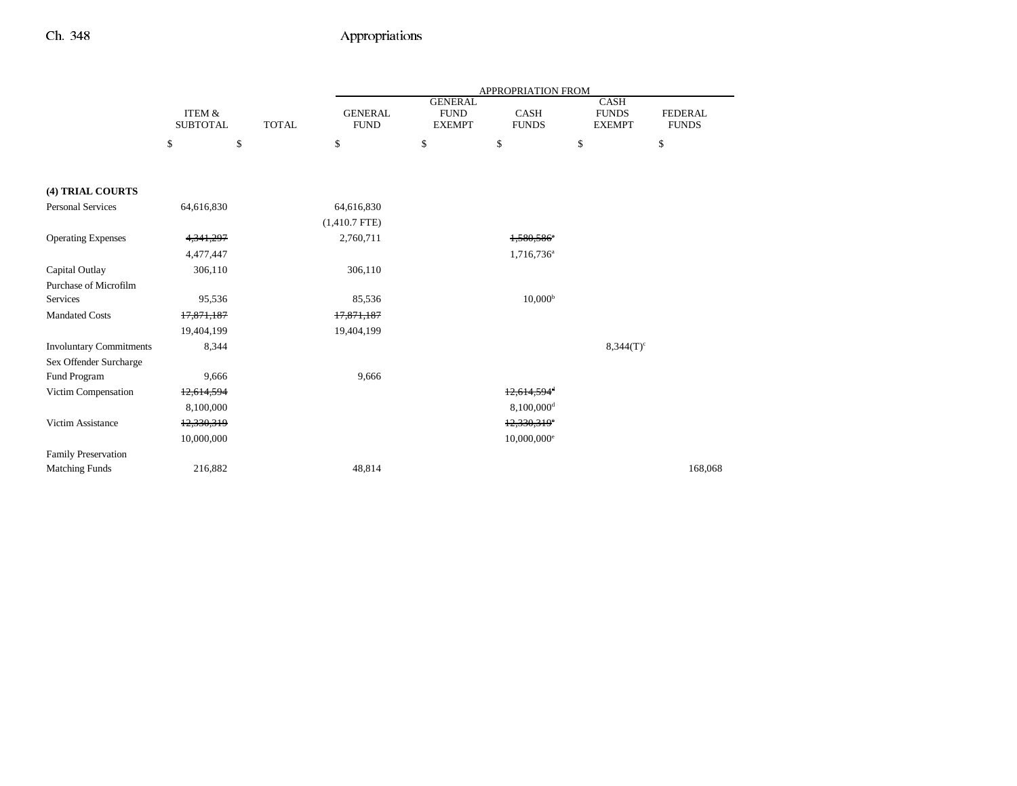|                                |                                      |              | APPROPRIATION FROM            |                                                |                           |                                              |                                |
|--------------------------------|--------------------------------------|--------------|-------------------------------|------------------------------------------------|---------------------------|----------------------------------------------|--------------------------------|
|                                | <b>ITEM &amp;</b><br><b>SUBTOTAL</b> | <b>TOTAL</b> | <b>GENERAL</b><br><b>FUND</b> | <b>GENERAL</b><br><b>FUND</b><br><b>EXEMPT</b> | CASH<br><b>FUNDS</b>      | <b>CASH</b><br><b>FUNDS</b><br><b>EXEMPT</b> | <b>FEDERAL</b><br><b>FUNDS</b> |
|                                | \$                                   | \$           | \$                            | \$                                             | \$                        | \$                                           | \$                             |
|                                |                                      |              |                               |                                                |                           |                                              |                                |
| (4) TRIAL COURTS               |                                      |              |                               |                                                |                           |                                              |                                |
| <b>Personal Services</b>       | 64,616,830                           |              | 64,616,830                    |                                                |                           |                                              |                                |
|                                |                                      |              | $(1,410.7$ FTE)               |                                                |                           |                                              |                                |
| <b>Operating Expenses</b>      | 4,341,297                            |              | 2,760,711                     |                                                | 1,580,586 <sup>a</sup>    |                                              |                                |
|                                | 4,477,447                            |              |                               |                                                | 1,716,736 <sup>a</sup>    |                                              |                                |
| Capital Outlay                 | 306,110                              |              | 306,110                       |                                                |                           |                                              |                                |
| Purchase of Microfilm          |                                      |              |                               |                                                |                           |                                              |                                |
| Services                       | 95,536                               |              | 85,536                        |                                                | 10,000 <sup>b</sup>       |                                              |                                |
| <b>Mandated Costs</b>          | 17,871,187                           |              | 17,871,187                    |                                                |                           |                                              |                                |
|                                | 19,404,199                           |              | 19,404,199                    |                                                |                           |                                              |                                |
| <b>Involuntary Commitments</b> | 8,344                                |              |                               |                                                |                           | $8,344(T)^c$                                 |                                |
| Sex Offender Surcharge         |                                      |              |                               |                                                |                           |                                              |                                |
| Fund Program                   | 9,666                                |              | 9,666                         |                                                |                           |                                              |                                |
| Victim Compensation            | 12,614,594                           |              |                               |                                                | $12,614,594$ <sup>d</sup> |                                              |                                |
|                                | 8,100,000                            |              |                               |                                                | 8,100,000 <sup>d</sup>    |                                              |                                |
| Victim Assistance              | 12,330,319                           |              |                               |                                                | $12,330,319$ <sup>e</sup> |                                              |                                |
|                                | 10,000,000                           |              |                               |                                                | $10,000,000$ <sup>e</sup> |                                              |                                |
| <b>Family Preservation</b>     |                                      |              |                               |                                                |                           |                                              |                                |
| <b>Matching Funds</b>          | 216,882                              |              | 48,814                        |                                                |                           |                                              | 168,068                        |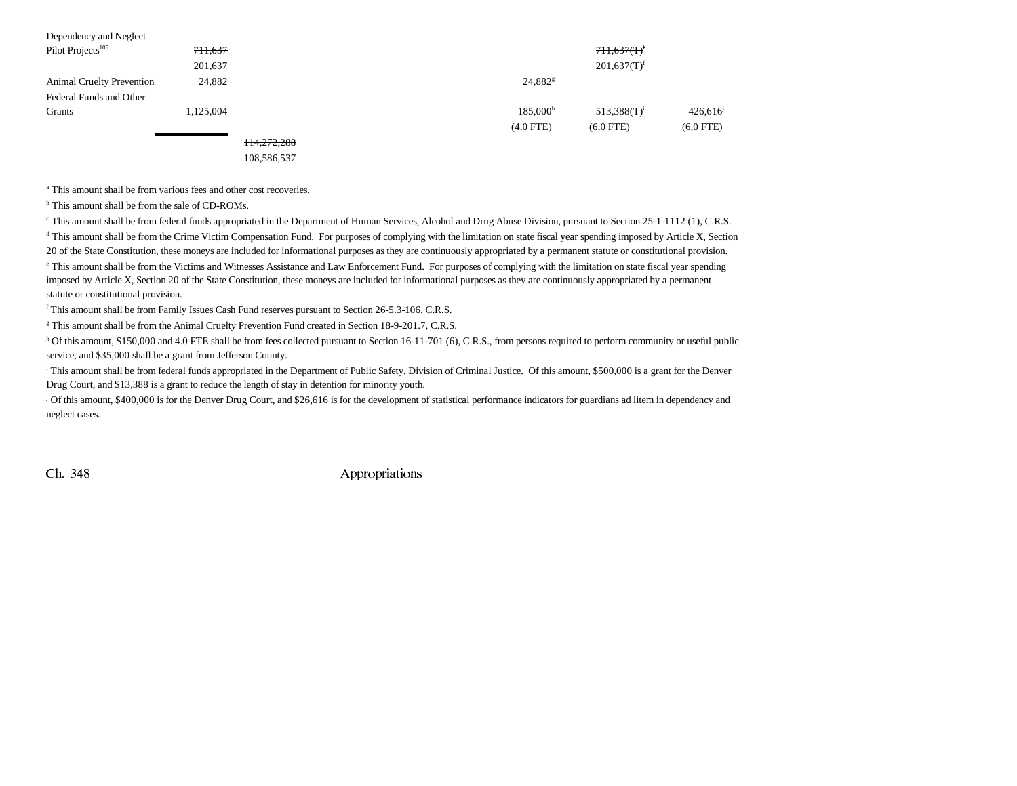| Dependency and Neglect           |           |             |                      |                           |             |
|----------------------------------|-----------|-------------|----------------------|---------------------------|-------------|
| Pilot Projects <sup>105</sup>    | 711,637   |             |                      | $711,637(T)^f$            |             |
|                                  | 201,637   |             |                      | $201,637(T)$ <sup>f</sup> |             |
| <b>Animal Cruelty Prevention</b> | 24,882    |             | 24,882 <sup>g</sup>  |                           |             |
| Federal Funds and Other          |           |             |                      |                           |             |
| Grants                           | 1.125.004 |             | 185.000 <sup>h</sup> | $513,388(T)^i$            | 426,616     |
|                                  |           |             | $(4.0$ FTE)          | $(6.0$ FTE)               | $(6.0$ FTE) |
|                                  |           | 114,272,288 |                      |                           |             |

108,586,537

a This amount shall be from various fees and other cost recoveries.

b This amount shall be from the sale of CD-ROMs.

<sup>e</sup> This amount shall be from federal funds appropriated in the Department of Human Services, Alcohol and Drug Abuse Division, pursuant to Section 25-1-1112 (1), C.R.S.

<sup>d</sup> This amount shall be from the Crime Victim Compensation Fund. For purposes of complying with the limitation on state fiscal year spending imposed by Article X, Section

20 of the State Constitution, these moneys are included for informational purposes as they are continuously appropriated by a permanent statute or constitutional provision.

e This amount shall be from the Victims and Witnesses Assistance and Law Enforcement Fund. For purposes of complying with the limitation on state fiscal year spending imposed by Article X, Section 20 of the State Constitution, these moneys are included for informational purposes as they are continuously appropriated by a permanent statute or constitutional provision.

f This amount shall be from Family Issues Cash Fund reserves pursuant to Section 26-5.3-106, C.R.S.

<sup>g</sup> This amount shall be from the Animal Cruelty Prevention Fund created in Section 18-9-201.7, C.R.S.

h Of this amount, \$150,000 and 4.0 FTE shall be from fees collected pursuant to Section 16-11-701 (6), C.R.S., from persons required to perform community or useful public service, and \$35,000 shall be a grant from Jefferson County.

<sup>i</sup> This amount shall be from federal funds appropriated in the Department of Public Safety, Division of Criminal Justice. Of this amount, \$500,000 is a grant for the Denver Drug Court, and \$13,388 is a grant to reduce the length of stay in detention for minority youth.

j Of this amount, \$400,000 is for the Denver Drug Court, and \$26,616 is for the development of statistical performance indicators for guardians ad litem in dependency and neglect cases.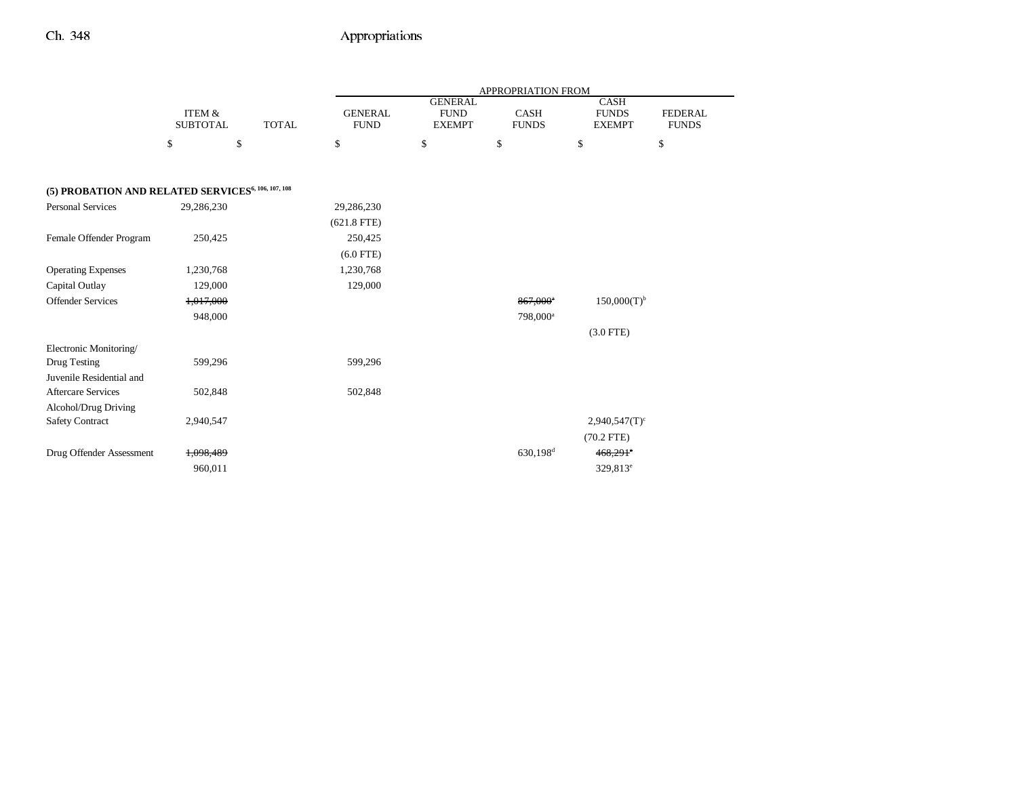|                                                                |                                      |              |                               |                                                | <b>APPROPRIATION FROM</b>   |                                              |                                |
|----------------------------------------------------------------|--------------------------------------|--------------|-------------------------------|------------------------------------------------|-----------------------------|----------------------------------------------|--------------------------------|
|                                                                | <b>ITEM &amp;</b><br><b>SUBTOTAL</b> | <b>TOTAL</b> | <b>GENERAL</b><br><b>FUND</b> | <b>GENERAL</b><br><b>FUND</b><br><b>EXEMPT</b> | <b>CASH</b><br><b>FUNDS</b> | <b>CASH</b><br><b>FUNDS</b><br><b>EXEMPT</b> | <b>FEDERAL</b><br><b>FUNDS</b> |
|                                                                | \$                                   | \$           | \$                            | \$                                             | \$                          | \$                                           | \$                             |
|                                                                |                                      |              |                               |                                                |                             |                                              |                                |
| (5) PROBATION AND RELATED SERVICES <sup>6, 106, 107, 108</sup> |                                      |              |                               |                                                |                             |                                              |                                |
| <b>Personal Services</b>                                       | 29,286,230                           |              | 29,286,230                    |                                                |                             |                                              |                                |
|                                                                |                                      |              | $(621.8$ FTE)                 |                                                |                             |                                              |                                |
| Female Offender Program                                        | 250,425                              |              | 250,425                       |                                                |                             |                                              |                                |
|                                                                |                                      |              | $(6.0$ FTE)                   |                                                |                             |                                              |                                |
| <b>Operating Expenses</b>                                      | 1,230,768                            |              | 1,230,768                     |                                                |                             |                                              |                                |
| Capital Outlay                                                 | 129,000                              |              | 129,000                       |                                                |                             |                                              |                                |
| <b>Offender Services</b>                                       | 1,017,000                            |              |                               |                                                | $867,000$ <sup>a</sup>      | $150,000(T)^{b}$                             |                                |
|                                                                | 948,000                              |              |                               |                                                | 798,000 <sup>a</sup>        |                                              |                                |
|                                                                |                                      |              |                               |                                                |                             | $(3.0$ FTE)                                  |                                |
| Electronic Monitoring/                                         |                                      |              |                               |                                                |                             |                                              |                                |
| Drug Testing                                                   | 599,296                              |              | 599,296                       |                                                |                             |                                              |                                |
| Juvenile Residential and                                       |                                      |              |                               |                                                |                             |                                              |                                |
| <b>Aftercare Services</b>                                      | 502,848                              |              | 502,848                       |                                                |                             |                                              |                                |
| Alcohol/Drug Driving                                           |                                      |              |                               |                                                |                             |                                              |                                |
| <b>Safety Contract</b>                                         | 2,940,547                            |              |                               |                                                |                             | $2,940,547(T)$ <sup>c</sup>                  |                                |
|                                                                |                                      |              |                               |                                                |                             | $(70.2$ FTE)                                 |                                |
| Drug Offender Assessment                                       | 1,098,489                            |              |                               |                                                | $630,198$ <sup>d</sup>      | $468,291$ °                                  |                                |
|                                                                | 960,011                              |              |                               |                                                |                             | 329,813 <sup>e</sup>                         |                                |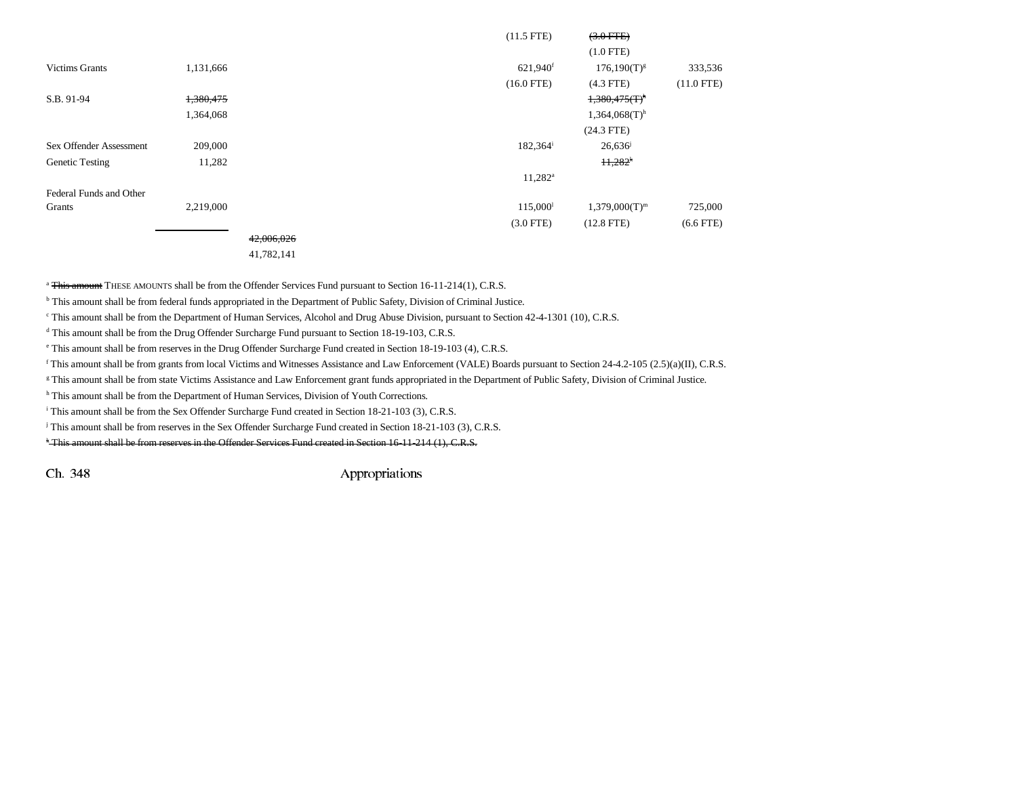|                         |           |            | $(11.5$ FTE)         | $(3.0$ FTE $)$               |              |
|-------------------------|-----------|------------|----------------------|------------------------------|--------------|
|                         |           |            |                      | $(1.0$ FTE)                  |              |
| <b>Victims Grants</b>   | 1,131,666 |            | 621,940 <sup>f</sup> | $176,190(T)^{g}$             | 333,536      |
|                         |           |            | $(16.0$ FTE)         | $(4.3$ FTE)                  | $(11.0$ FTE) |
| S.B. 91-94              | 1,380,475 |            |                      | $1,380,475$ (T) <sup>h</sup> |              |
|                         | 1,364,068 |            |                      | $1,364,068(T)$ <sup>h</sup>  |              |
|                         |           |            |                      | $(24.3$ FTE)                 |              |
| Sex Offender Assessment | 209,000   |            | $182,364^{\rm i}$    | 26,636                       |              |
| <b>Genetic Testing</b>  | 11,282    |            |                      | $11,282$ <sup>k</sup>        |              |
|                         |           |            | $11,282^{\rm a}$     |                              |              |
| Federal Funds and Other |           |            |                      |                              |              |
| Grants                  | 2,219,000 |            | 115,000 <sup>1</sup> | $1,379,000(T)^{m}$           | 725,000      |
|                         |           |            | $(3.0$ FTE)          | $(12.8$ FTE)                 | $(6.6$ FTE)  |
|                         |           | 42,006,026 |                      |                              |              |

41,782,141

<sup>a</sup> This amount THESE AMOUNTS shall be from the Offender Services Fund pursuant to Section 16-11-214(1), C.R.S.

<sup>b</sup> This amount shall be from federal funds appropriated in the Department of Public Safety, Division of Criminal Justice.

c This amount shall be from the Department of Human Services, Alcohol and Drug Abuse Division, pursuant to Section 42-4-1301 (10), C.R.S.

<sup>d</sup> This amount shall be from the Drug Offender Surcharge Fund pursuant to Section 18-19-103, C.R.S.

e This amount shall be from reserves in the Drug Offender Surcharge Fund created in Section 18-19-103 (4), C.R.S.

f This amount shall be from grants from local Victims and Witnesses Assistance and Law Enforcement (VALE) Boards pursuant to Section 24-4.2-105 (2.5)(a)(II), C.R.S.

g This amount shall be from state Victims Assistance and Law Enforcement grant funds appropriated in the Department of Public Safety, Division of Criminal Justice.

h This amount shall be from the Department of Human Services, Division of Youth Corrections.

<sup>i</sup> This amount shall be from the Sex Offender Surcharge Fund created in Section 18-21-103 (3), C.R.S.

j This amount shall be from reserves in the Sex Offender Surcharge Fund created in Section 18-21-103 (3), C.R.S.

k This amount shall be from reserves in the Offender Services Fund created in Section 16-11-214 (1), C.R.S.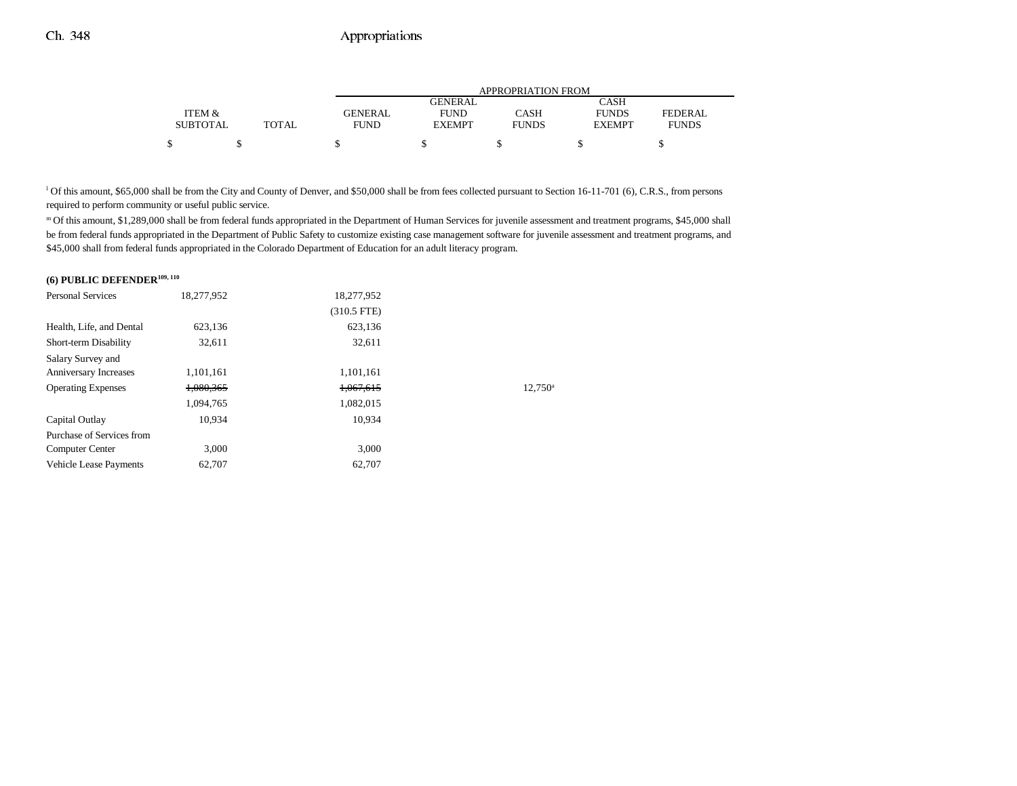|                 |              | APPROPRIATION FROM |                |              |               |              |
|-----------------|--------------|--------------------|----------------|--------------|---------------|--------------|
|                 |              |                    | <b>GENERAL</b> |              | CASH          |              |
| ITEM &          |              | <b>GENERAL</b>     | <b>FUND</b>    | CASH         | <b>FUNDS</b>  | FEDERAL      |
| <b>SUBTOTAL</b> | <b>TOTAL</b> | <b>FUND</b>        | <b>EXEMPT</b>  | <b>FUNDS</b> | <b>EXEMPT</b> | <b>FUNDS</b> |
| ሖ               |              |                    |                |              |               |              |

<sup>1</sup> Of this amount, \$65,000 shall be from the City and County of Denver, and \$50,000 shall be from fees collected pursuant to Section 16-11-701 (6), C.R.S., from persons required to perform community or useful public service.

m Of this amount, \$1,289,000 shall be from federal funds appropriated in the Department of Human Services for juvenile assessment and treatment programs, \$45,000 shall be from federal funds appropriated in the Department of Public Safety to customize existing case management software for juvenile assessment and treatment programs, and \$45,000 shall from federal funds appropriated in the Colorado Department of Education for an adult literacy program.

#### **(6) PUBLIC DEFENDER109, 110**

| 18,277,952 | 18,277,952    |                  |
|------------|---------------|------------------|
|            | $(310.5$ FTE) |                  |
| 623.136    | 623.136       |                  |
| 32.611     | 32.611        |                  |
|            |               |                  |
| 1,101,161  | 1,101,161     |                  |
| 1,080,365  | 1,067,615     | $12.750^{\circ}$ |
| 1,094,765  | 1,082,015     |                  |
| 10.934     | 10.934        |                  |
|            |               |                  |
| 3.000      | 3.000         |                  |
| 62,707     | 62,707        |                  |
|            |               |                  |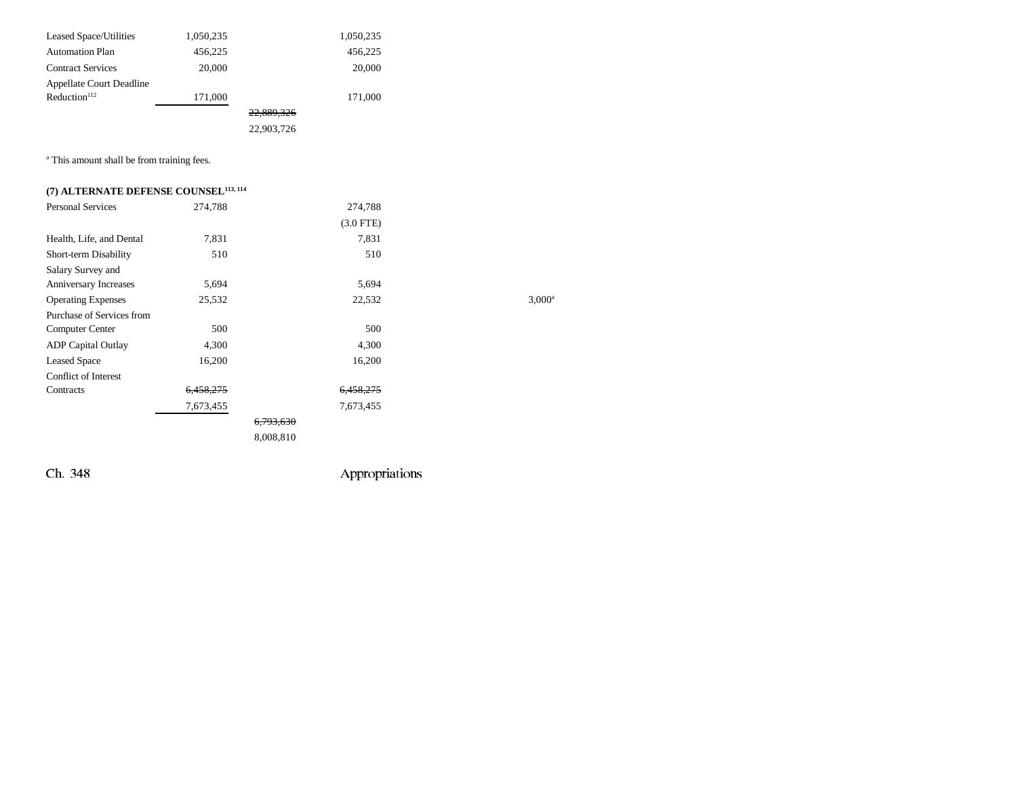| Leased Space/Utilities          | 1,050,235 |            | 1,050,235 |
|---------------------------------|-----------|------------|-----------|
| <b>Automation Plan</b>          | 456.225   |            | 456.225   |
| <b>Contract Services</b>        | 20,000    |            | 20,000    |
| <b>Appellate Court Deadline</b> |           |            |           |
| Reduction <sup>112</sup>        | 171,000   |            | 171,000   |
|                                 |           | 22,889,326 |           |
|                                 |           | 22,903,726 |           |

<sup>a</sup> This amount shall be from training fees.

## **(7) ALTERNATE DEFENSE COUNSEL113, 114**

| <b>Personal Services</b>    | 274,788              | 274,788        |                 |
|-----------------------------|----------------------|----------------|-----------------|
|                             |                      | $(3.0$ FTE $)$ |                 |
| Health, Life, and Dental    | 7,831                | 7,831          |                 |
| Short-term Disability       | 510                  | 510            |                 |
| Salary Survey and           |                      |                |                 |
| Anniversary Increases       | 5,694                | 5,694          |                 |
| <b>Operating Expenses</b>   | 25,532               | 22,532         | $3,000^{\circ}$ |
| Purchase of Services from   |                      |                |                 |
| Computer Center             | 500                  | 500            |                 |
| <b>ADP</b> Capital Outlay   | 4,300                | 4,300          |                 |
| <b>Leased Space</b>         | 16,200               | 16,200         |                 |
| <b>Conflict of Interest</b> |                      |                |                 |
| Contracts                   | <del>6,458,275</del> | 6,458,275      |                 |
|                             | 7,673,455            | 7,673,455      |                 |
|                             |                      | 6,793,630      |                 |
|                             |                      | 8,008,810      |                 |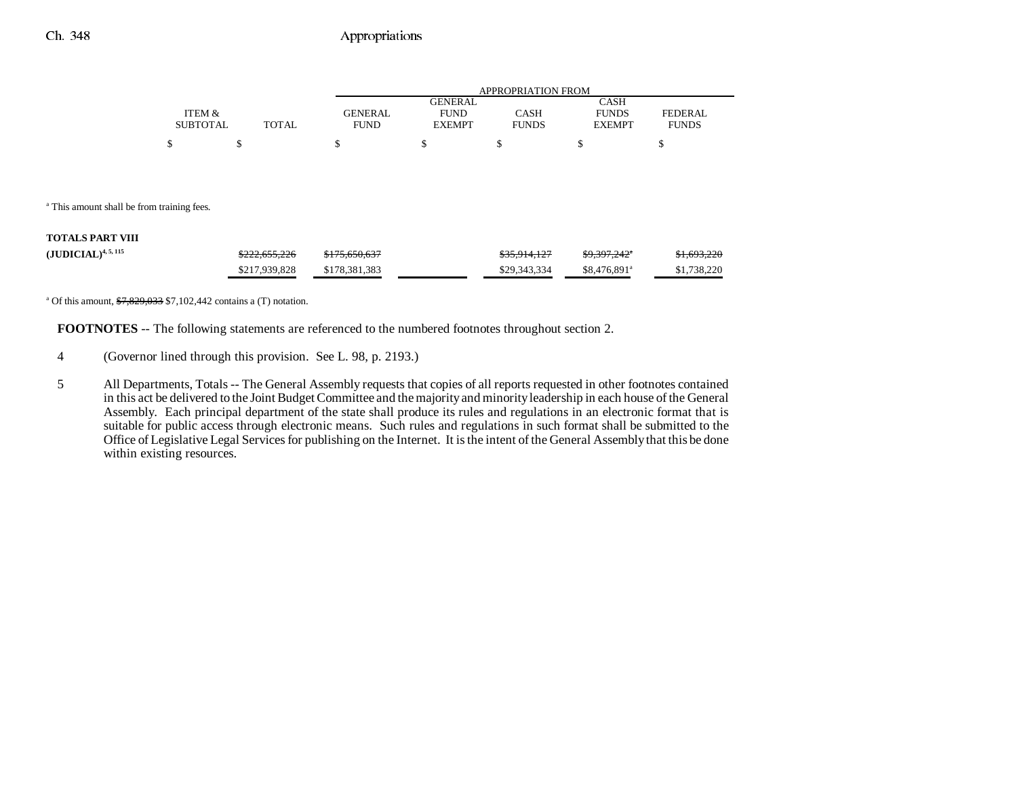|                 |       |             | APPROPRIATION FROM |              |               |              |  |
|-----------------|-------|-------------|--------------------|--------------|---------------|--------------|--|
|                 |       |             | GENERAL            |              | CASH          |              |  |
| ITEM &          |       | GENERAL     | <b>FUND</b>        | CASH         | <b>FUNDS</b>  | FEDERAL      |  |
| <b>SUBTOTAL</b> | TOTAL | <b>FUND</b> | <b>EXEMPT</b>      | <b>FUNDS</b> | <b>EXEMPT</b> | <b>FUNDS</b> |  |
| \$              |       |             |                    |              |               |              |  |

<sup>a</sup> This amount shall be from training fees.

#### **TOTALS PART VIII**

| $(JUDICIAL)^{4, 5, 115}$ | \$222,655,226 | \$175,650,637 | <del>\$35.914.127</del> | <del>\$9.397.242</del> * | \$1,693,220 |
|--------------------------|---------------|---------------|-------------------------|--------------------------|-------------|
|                          | \$217.939.828 | \$178.381.383 | \$29,343,334            | \$8,476,891 <sup>a</sup> | \$1,738,220 |

<sup>a</sup> Of this amount,  $\frac{$7,829,033}{$7,102,442}$  contains a (T) notation.

**FOOTNOTES** -- The following statements are referenced to the numbered footnotes throughout section 2.

4 (Governor lined through this provision. See L. 98, p. 2193.)

5 All Departments, Totals -- The General Assembly requests that copies of all reports requested in other footnotes contained in this act be delivered to the Joint Budget Committee and the majority and minority leadership in each house of the General Assembly. Each principal department of the state shall produce its rules and regulations in an electronic format that is suitable for public access through electronic means. Such rules and regulations in such format shall be submitted to the Office of Legislative Legal Services for publishing on the Internet. It is the intent of the General Assembly that this be done within existing resources.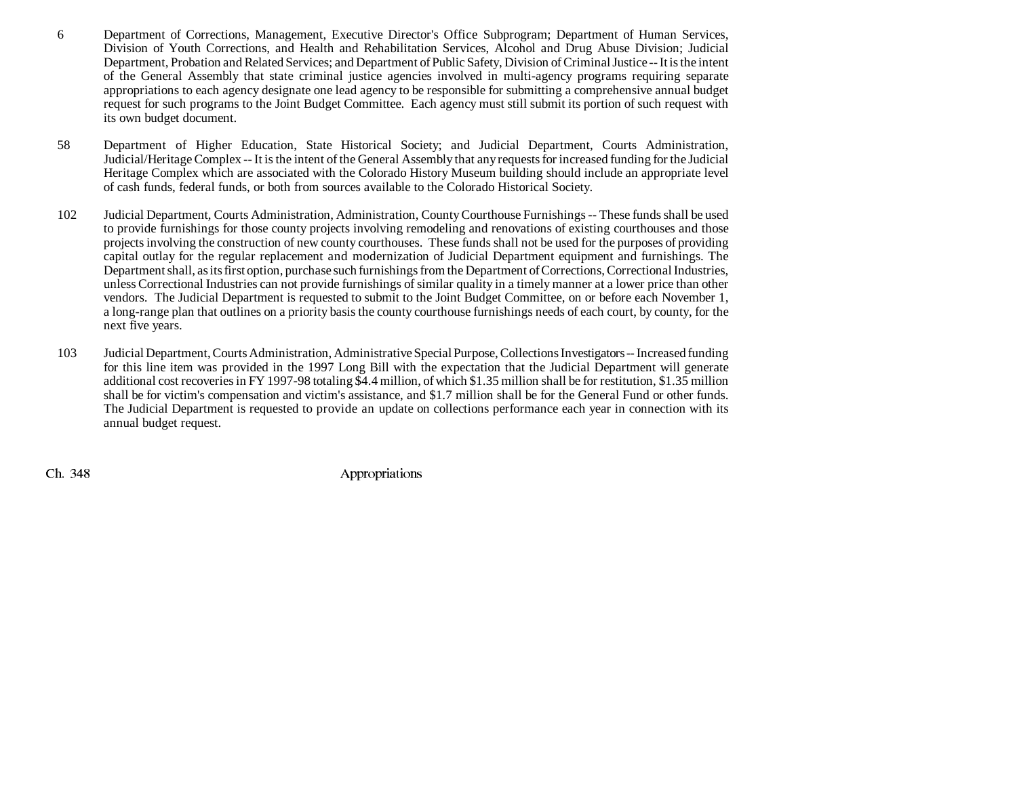- 6 Department of Corrections, Management, Executive Director's Office Subprogram; Department of Human Services, Division of Youth Corrections, and Health and Rehabilitation Services, Alcohol and Drug Abuse Division; Judicial Department, Probation and Related Services; and Department of Public Safety, Division of Criminal Justice -- It is the intent of the General Assembly that state criminal justice agencies involved in multi-agency programs requiring separate appropriations to each agency designate one lead agency to be responsible for submitting a comprehensive annual budget request for such programs to the Joint Budget Committee. Each agency must still submit its portion of such request with its own budget document.
- 58 Department of Higher Education, State Historical Society; and Judicial Department, Courts Administration, Judicial/Heritage Complex -- It is the intent of the General Assembly that any requests for increased funding for the Judicial Heritage Complex which are associated with the Colorado History Museum building should include an appropriate level of cash funds, federal funds, or both from sources available to the Colorado Historical Society.
- 102 Judicial Department, Courts Administration, Administration, County Courthouse Furnishings -- These funds shall be used to provide furnishings for those county projects involving remodeling and renovations of existing courthouses and those projects involving the construction of new county courthouses. These funds shall not be used for the purposes of providing capital outlay for the regular replacement and modernization of Judicial Department equipment and furnishings. The Department shall, as its first option, purchase such furnishings from the Department of Corrections, Correctional Industries, unless Correctional Industries can not provide furnishings of similar quality in a timely manner at a lower price than other vendors. The Judicial Department is requested to submit to the Joint Budget Committee, on or before each November 1, a long-range plan that outlines on a priority basis the county courthouse furnishings needs of each court, by county, for the next five years.
- 103 Judicial Department, Courts Administration, Administrative Special Purpose, Collections Investigators -- Increased funding for this line item was provided in the 1997 Long Bill with the expectation that the Judicial Department will generate additional cost recoveries in FY 1997-98 totaling \$4.4 million, of which \$1.35 million shall be for restitution, \$1.35 million shall be for victim's compensation and victim's assistance, and \$1.7 million shall be for the General Fund or other funds. The Judicial Department is requested to provide an update on collections performance each year in connection with its annual budget request.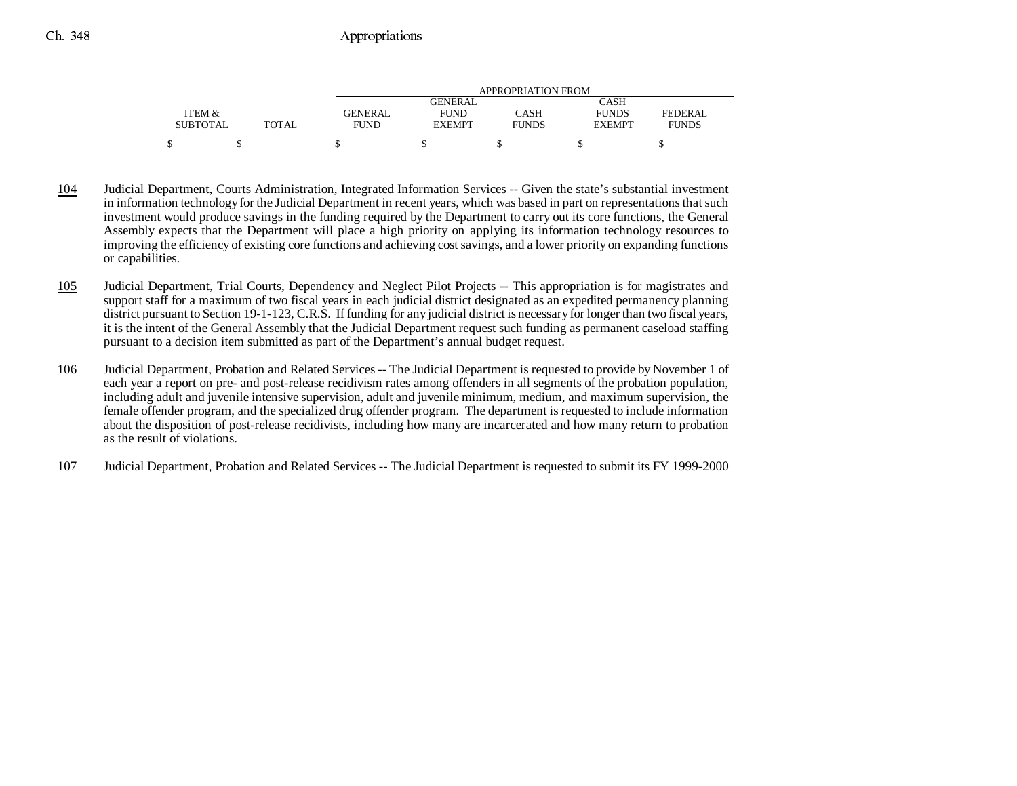|                 |              |             | APPROPRIATION FROM |              |               |                |  |
|-----------------|--------------|-------------|--------------------|--------------|---------------|----------------|--|
|                 |              |             | <b>GENERAL</b>     |              | CASH          |                |  |
| ITEM &          |              | GENERAL     | <b>FUND</b>        | CASH         | <b>FUNDS</b>  | <b>FEDERAL</b> |  |
| <b>SUBTOTAL</b> | <b>TOTAL</b> | <b>FUND</b> | <b>EXEMPT</b>      | <b>FUNDS</b> | <b>EXEMPT</b> | <b>FUNDS</b>   |  |
|                 |              |             |                    |              |               |                |  |

- 104 Judicial Department, Courts Administration, Integrated Information Services -- Given the state's substantial investment in information technology for the Judicial Department in recent years, which was based in part on representations that such investment would produce savings in the funding required by the Department to carry out its core functions, the General Assembly expects that the Department will place a high priority on applying its information technology resources to improving the efficiency of existing core functions and achieving cost savings, and a lower priority on expanding functions or capabilities.
- 105 Judicial Department, Trial Courts, Dependency and Neglect Pilot Projects -- This appropriation is for magistrates and support staff for a maximum of two fiscal years in each judicial district designated as an expedited permanency planning district pursuant to Section 19-1-123, C.R.S. If funding for any judicial district is necessary for longer than two fiscal years, it is the intent of the General Assembly that the Judicial Department request such funding as permanent caseload staffing pursuant to a decision item submitted as part of the Department's annual budget request.
- 106 Judicial Department, Probation and Related Services -- The Judicial Department is requested to provide by November 1 of each year a report on pre- and post-release recidivism rates among offenders in all segments of the probation population, including adult and juvenile intensive supervision, adult and juvenile minimum, medium, and maximum supervision, the female offender program, and the specialized drug offender program. The department is requested to include information about the disposition of post-release recidivists, including how many are incarcerated and how many return to probation as the result of violations.
- 107 Judicial Department, Probation and Related Services -- The Judicial Department is requested to submit its FY 1999-2000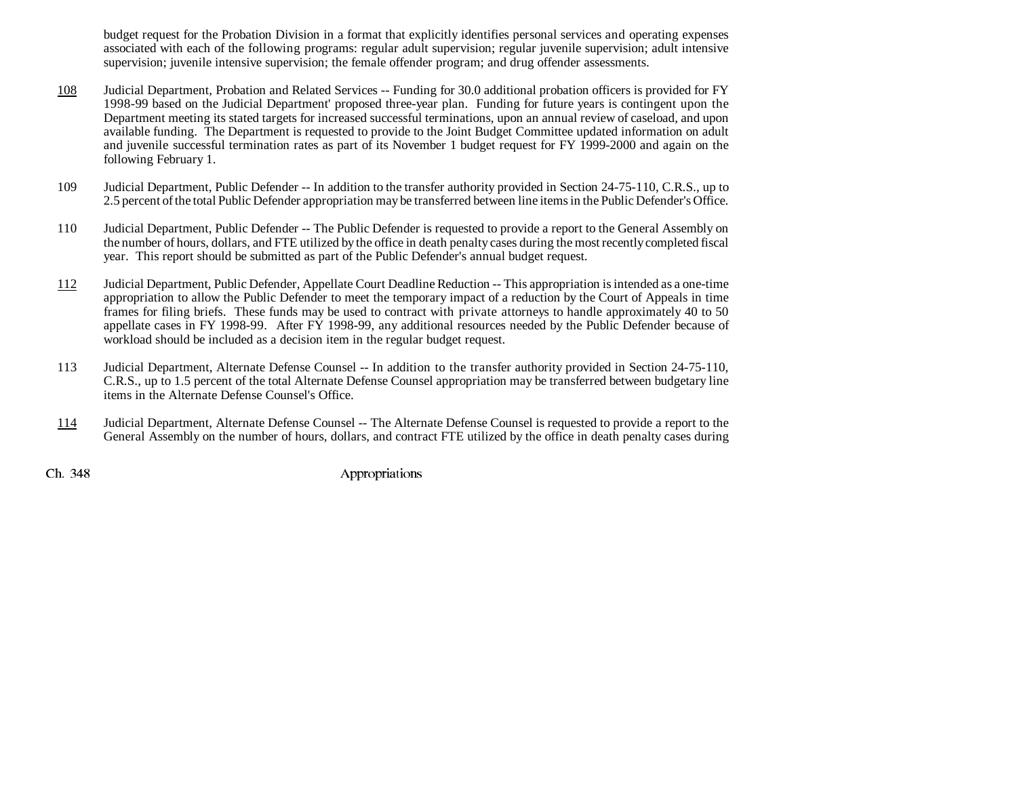budget request for the Probation Division in a format that explicitly identifies personal services and operating expenses associated with each of the following programs: regular adult supervision; regular juvenile supervision; adult intensive supervision; juvenile intensive supervision; the female offender program; and drug offender assessments.

- 108 Judicial Department, Probation and Related Services -- Funding for 30.0 additional probation officers is provided for FY 1998-99 based on the Judicial Department' proposed three-year plan. Funding for future years is contingent upon the Department meeting its stated targets for increased successful terminations, upon an annual review of caseload, and upon available funding. The Department is requested to provide to the Joint Budget Committee updated information on adult and juvenile successful termination rates as part of its November 1 budget request for FY 1999-2000 and again on the following February 1.
- 109 Judicial Department, Public Defender -- In addition to the transfer authority provided in Section 24-75-110, C.R.S., up to 2.5 percent of the total Public Defender appropriation may be transferred between line items in the Public Defender's Office.
- 110 Judicial Department, Public Defender -- The Public Defender is requested to provide a report to the General Assembly on the number of hours, dollars, and FTE utilized by the office in death penalty cases during the most recently completed fiscal year. This report should be submitted as part of the Public Defender's annual budget request.
- 112 Judicial Department, Public Defender, Appellate Court Deadline Reduction -- This appropriation is intended as a one-time appropriation to allow the Public Defender to meet the temporary impact of a reduction by the Court of Appeals in time frames for filing briefs. These funds may be used to contract with private attorneys to handle approximately 40 to 50 appellate cases in FY 1998-99. After FY 1998-99, any additional resources needed by the Public Defender because of workload should be included as a decision item in the regular budget request.
- 113 Judicial Department, Alternate Defense Counsel -- In addition to the transfer authority provided in Section 24-75-110, C.R.S., up to 1.5 percent of the total Alternate Defense Counsel appropriation may be transferred between budgetary line items in the Alternate Defense Counsel's Office.
- 114 Judicial Department, Alternate Defense Counsel -- The Alternate Defense Counsel is requested to provide a report to the General Assembly on the number of hours, dollars, and contract FTE utilized by the office in death penalty cases during